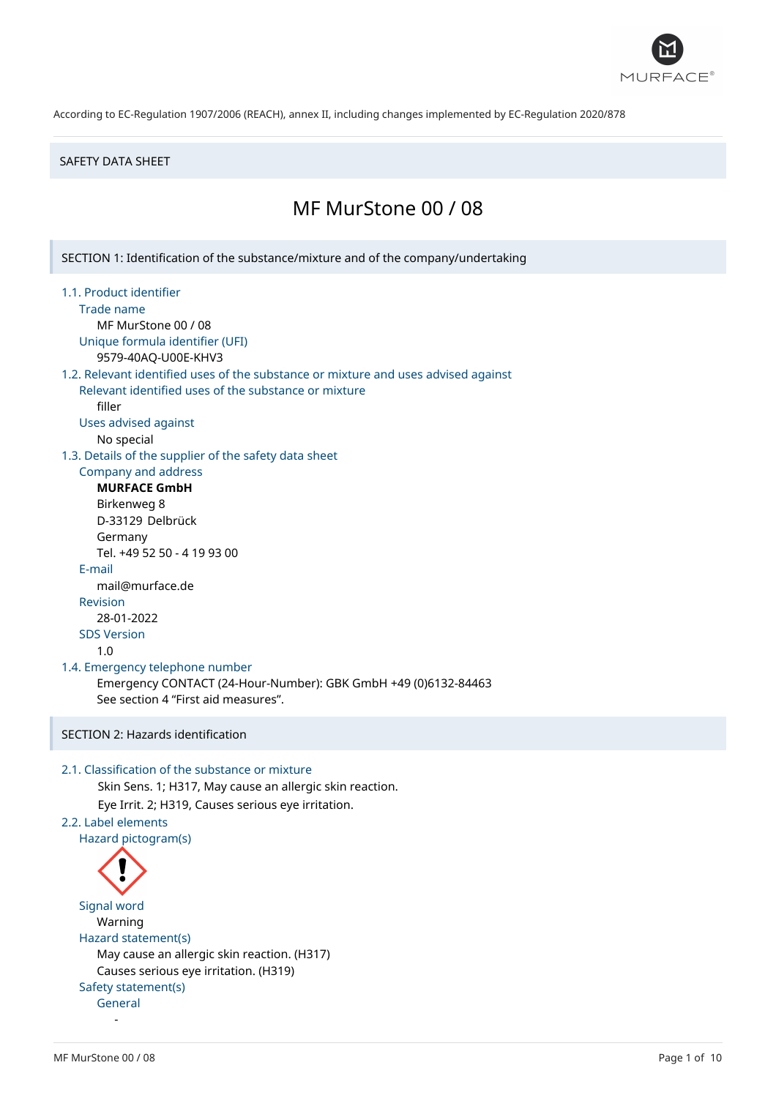

#### SAFETY DATA SHEET

# MF MurStone 00 / 08

SECTION 1: Identification of the substance/mixture and of the company/undertaking

- 1.1. Product identifier
	- Trade name

MF MurStone 00 / 08 Unique formula identifier (UFI)

9579-40AQ-U00E-KHV3

## 1.2. Relevant identified uses of the substance or mixture and uses advised against Relevant identified uses of the substance or mixture

filler

- Uses advised against
	- No special

1.3. Details of the supplier of the safety data sheet

# Company and address

**MURFACE GmbH** Birkenweg 8 D-33129 Delbrück Germany Tel. +49 52 50 - 4 19 93 00 E-mail mail@murface.de Revision 28-01-2022 SDS Version 1.0

#### 1.4. Emergency telephone number

Emergency CONTACT (24-Hour-Number): GBK GmbH +49 (0)6132-84463 See section 4 "First aid measures".

# SECTION 2: Hazards identification

## 2.1. Classification of the substance or mixture

Skin Sens. 1; H317, May cause an allergic skin reaction. Eye Irrit. 2; H319, Causes serious eye irritation. 2.2. Label elements Hazard pictogram(s)

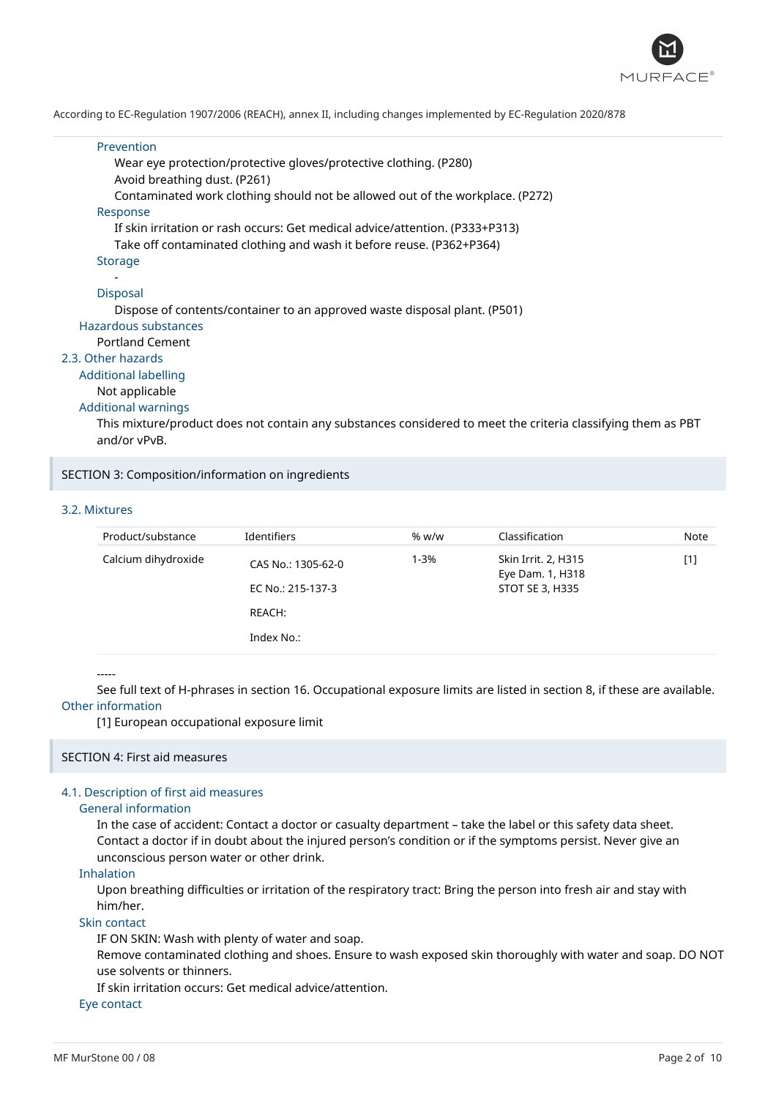

#### Prevention

Wear eye protection/protective gloves/protective clothing. (P280) Avoid breathing dust. (P261) Contaminated work clothing should not be allowed out of the workplace. (P272) Response If skin irritation or rash occurs: Get medical advice/attention. (P333+P313) Take off contaminated clothing and wash it before reuse. (P362+P364)

## Storage

#### - Disposal

Dispose of contents/container to an approved waste disposal plant. (P501) Hazardous substances

#### Portland Cement

#### 2.3. Other hazards

Additional labelling

## Not applicable

# Additional warnings

This mixture/product does not contain any substances considered to meet the criteria classifying them as PBT and/or vPvB.

#### SECTION 3: Composition/information on ingredients

## 3.2. Mixtures

| Product/substance   | <b>Identifiers</b>                                                                         | % w/w           | Classification | Note |
|---------------------|--------------------------------------------------------------------------------------------|-----------------|----------------|------|
| Calcium dihydroxide | Skin Irrit. 2, H315<br>1-3%<br>CAS No.: 1305-62-0<br>Eye Dam. 1, H318<br>EC No.: 215-137-3 | STOT SE 3, H335 | $[1]$          |      |
|                     | REACH:                                                                                     |                 |                |      |
|                     | Index No.:                                                                                 |                 |                |      |

#### -----

See full text of H-phrases in section 16. Occupational exposure limits are listed in section 8, if these are available. Other information

#### [1] European occupational exposure limit

#### SECTION 4: First aid measures

## 4.1. Description of first aid measures

#### General information

In the case of accident: Contact a doctor or casualty department – take the label or this safety data sheet. Contact a doctor if in doubt about the injured person's condition or if the symptoms persist. Never give an unconscious person water or other drink.

## Inhalation

Upon breathing difficulties or irritation of the respiratory tract: Bring the person into fresh air and stay with him/her.

## Skin contact

IF ON SKIN: Wash with plenty of water and soap.

Remove contaminated clothing and shoes. Ensure to wash exposed skin thoroughly with water and soap. DO NOT use solvents or thinners.

If skin irritation occurs: Get medical advice/attention.

#### Eye contact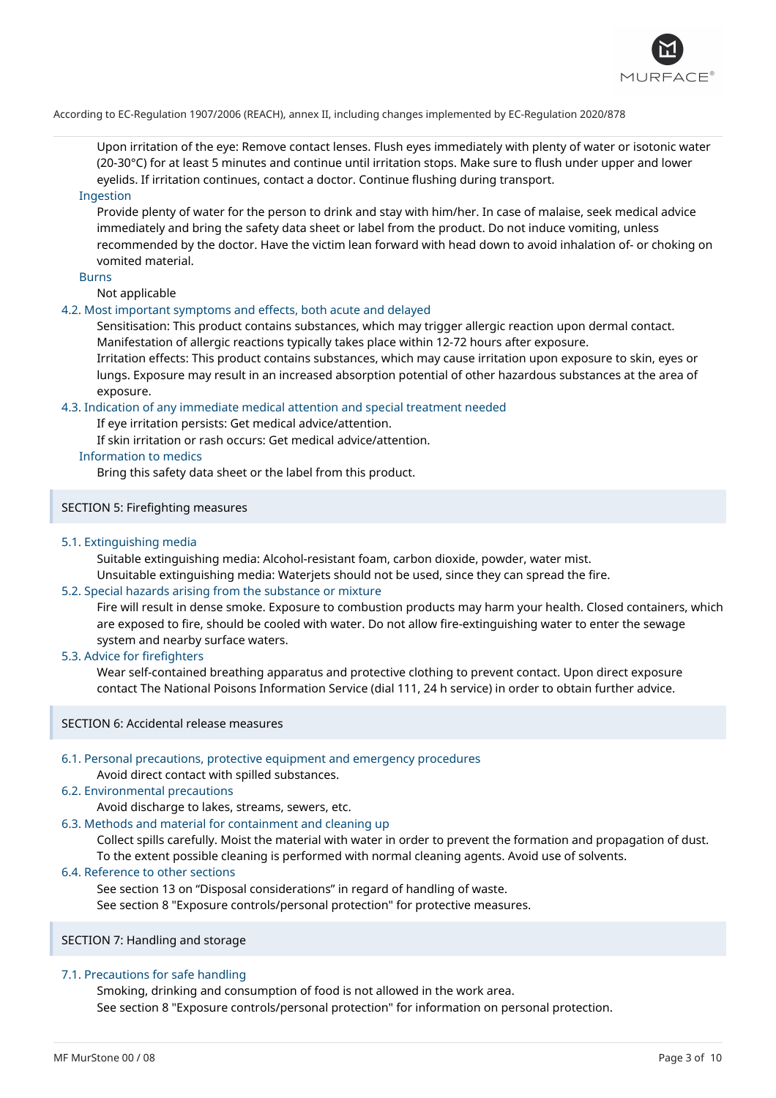

Upon irritation of the eye: Remove contact lenses. Flush eyes immediately with plenty of water or isotonic water (20-30°C) for at least 5 minutes and continue until irritation stops. Make sure to flush under upper and lower eyelids. If irritation continues, contact a doctor. Continue flushing during transport.

## Ingestion

Provide plenty of water for the person to drink and stay with him/her. In case of malaise, seek medical advice immediately and bring the safety data sheet or label from the product. Do not induce vomiting, unless recommended by the doctor. Have the victim lean forward with head down to avoid inhalation of- or choking on vomited material.

## Burns

Not applicable

### 4.2. Most important symptoms and effects, both acute and delayed

Sensitisation: This product contains substances, which may trigger allergic reaction upon dermal contact. Manifestation of allergic reactions typically takes place within 12-72 hours after exposure.

Irritation effects: This product contains substances, which may cause irritation upon exposure to skin, eyes or lungs. Exposure may result in an increased absorption potential of other hazardous substances at the area of exposure.

## 4.3. Indication of any immediate medical attention and special treatment needed

If eye irritation persists: Get medical advice/attention.

If skin irritation or rash occurs: Get medical advice/attention.

## Information to medics

Bring this safety data sheet or the label from this product.

## SECTION 5: Firefighting measures

## 5.1. Extinguishing media

Suitable extinguishing media: Alcohol-resistant foam, carbon dioxide, powder, water mist. Unsuitable extinguishing media: Waterjets should not be used, since they can spread the fire.

# 5.2. Special hazards arising from the substance or mixture

Fire will result in dense smoke. Exposure to combustion products may harm your health. Closed containers, which are exposed to fire, should be cooled with water. Do not allow fire-extinguishing water to enter the sewage system and nearby surface waters.

### 5.3. Advice for firefighters

Wear self-contained breathing apparatus and protective clothing to prevent contact. Upon direct exposure contact The National Poisons Information Service (dial 111, 24 h service) in order to obtain further advice.

#### SECTION 6: Accidental release measures

## 6.1. Personal precautions, protective equipment and emergency procedures

## Avoid direct contact with spilled substances.

# 6.2. Environmental precautions

Avoid discharge to lakes, streams, sewers, etc.

## 6.3. Methods and material for containment and cleaning up

Collect spills carefully. Moist the material with water in order to prevent the formation and propagation of dust. To the extent possible cleaning is performed with normal cleaning agents. Avoid use of solvents.

### 6.4. Reference to other sections

See section 13 on "Disposal considerations" in regard of handling of waste.

See section 8 "Exposure controls/personal protection" for protective measures.

SECTION 7: Handling and storage

#### 7.1. Precautions for safe handling

Smoking, drinking and consumption of food is not allowed in the work area. See section 8 "Exposure controls/personal protection" for information on personal protection.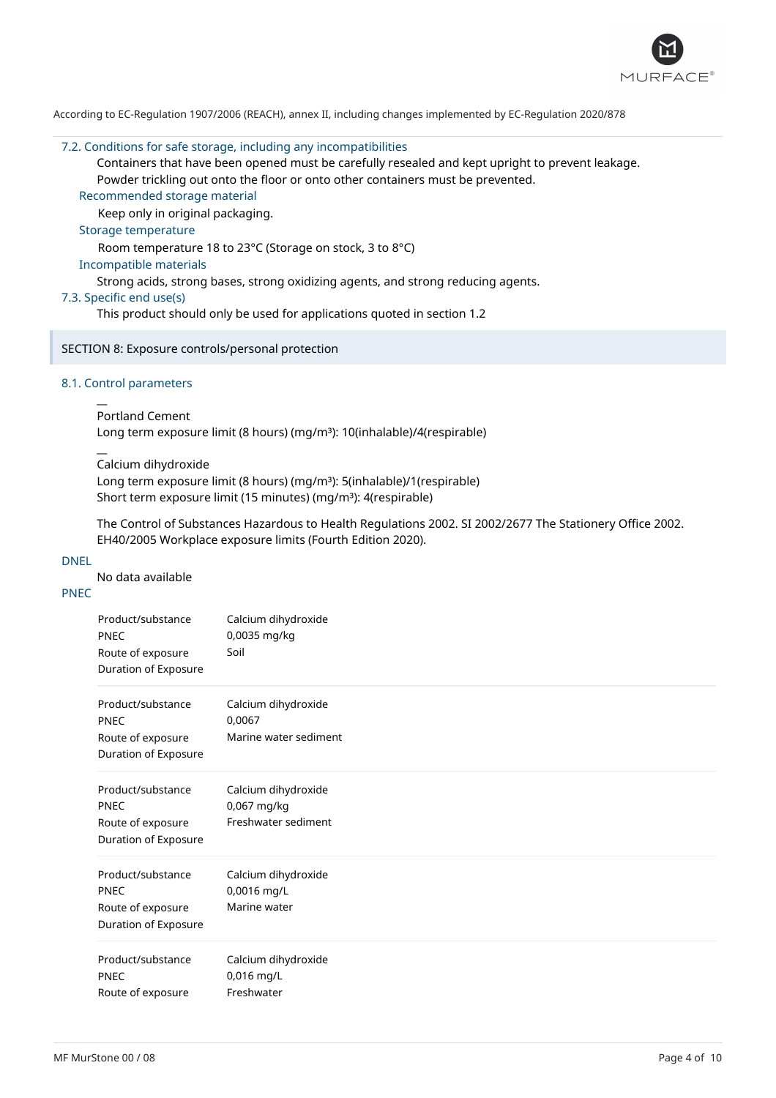

#### 7.2. Conditions for safe storage, including any incompatibilities

Containers that have been opened must be carefully resealed and kept upright to prevent leakage. Powder trickling out onto the floor or onto other containers must be prevented.

## Recommended storage material

Keep only in original packaging.

### Storage temperature

Room temperature 18 to 23°C (Storage on stock, 3 to 8°C)

## Incompatible materials

Strong acids, strong bases, strong oxidizing agents, and strong reducing agents.

## 7.3. Specific end use(s)

This product should only be used for applications quoted in section 1.2

## SECTION 8: Exposure controls/personal protection

### 8.1. Control parameters

 $\overline{a}$ 

 $\overline{a}$ 

### Portland Cement

Long term exposure limit (8 hours) (mg/m<sup>3</sup>): 10(inhalable)/4(respirable)

Calcium dihydroxide

Long term exposure limit (8 hours) (mg/m<sup>3</sup>): 5(inhalable)/1(respirable) Short term exposure limit (15 minutes) (mg/m<sup>3</sup>): 4(respirable)

The Control of Substances Hazardous to Health Regulations 2002. SI 2002/2677 The Stationery Office 2002. EH40/2005 Workplace exposure limits (Fourth Edition 2020).

#### DNEL

No data available

# PNEC

| Product/substance<br><b>PNEC</b><br>Route of exposure<br>Duration of Exposure | Calcium dihydroxide<br>0,0035 mg/kg<br>Soil               |
|-------------------------------------------------------------------------------|-----------------------------------------------------------|
| Product/substance<br><b>PNEC</b><br>Route of exposure<br>Duration of Exposure | Calcium dihydroxide<br>0,0067<br>Marine water sediment    |
| Product/substance<br><b>PNEC</b><br>Route of exposure<br>Duration of Exposure | Calcium dihydroxide<br>0,067 mg/kg<br>Freshwater sediment |
| Product/substance<br><b>PNEC</b><br>Route of exposure<br>Duration of Exposure | Calcium dihydroxide<br>0,0016 mg/L<br>Marine water        |
| Product/substance<br><b>PNEC</b><br>Route of exposure                         | Calcium dihydroxide<br>0,016 mg/L<br>Freshwater           |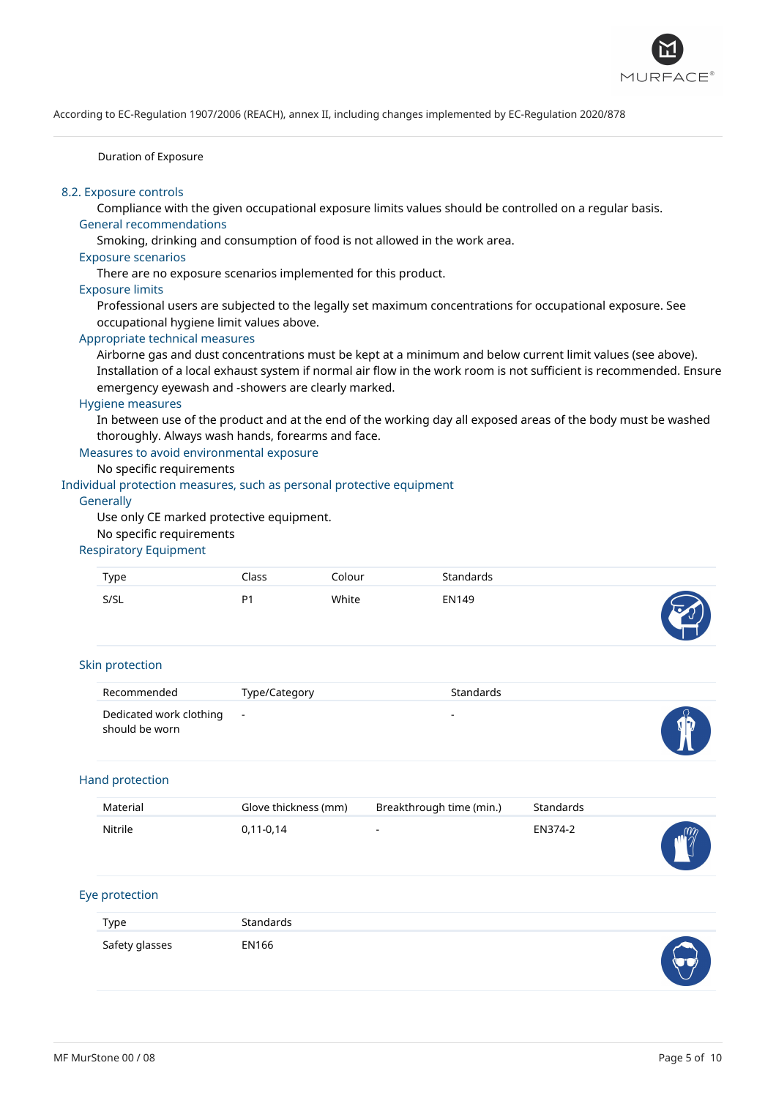

Duration of Exposure

# 8.2. Exposure controls

Compliance with the given occupational exposure limits values should be controlled on a regular basis. General recommendations

Smoking, drinking and consumption of food is not allowed in the work area.

## Exposure scenarios

There are no exposure scenarios implemented for this product.

#### Exposure limits

Professional users are subjected to the legally set maximum concentrations for occupational exposure. See occupational hygiene limit values above.

## Appropriate technical measures

Airborne gas and dust concentrations must be kept at a minimum and below current limit values (see above). Installation of a local exhaust system if normal air flow in the work room is not sufficient is recommended. Ensure emergency eyewash and -showers are clearly marked.

#### Hygiene measures

In between use of the product and at the end of the working day all exposed areas of the body must be washed thoroughly. Always wash hands, forearms and face.

Measures to avoid environmental exposure

## No specific requirements

## Individual protection measures, such as personal protective equipment

#### **Generally**

Use only CE marked protective equipment.

## No specific requirements

# Respiratory Equipment

| Type | Iass           | Colour | Standards |        |
|------|----------------|--------|-----------|--------|
| S/SL | P <sub>1</sub> | White  | EN149     | ᠇<br>. |

#### Skin protection

| Recommended                               | Type/Category | Standards |  |
|-------------------------------------------|---------------|-----------|--|
| Dedicated work clothing<br>should be worn | $\sim 100$    | $\sim$    |  |

## Hand protection

| Material | Glove thickness (mm) | Breakthrough time (min.) | Standards |            |
|----------|----------------------|--------------------------|-----------|------------|
| Nitrile  | $0,11-0,14$          | $\overline{\phantom{a}}$ | EN374-2   | <b>NEW</b> |

## Eye protection

| Type           | Standards |                      |
|----------------|-----------|----------------------|
| Safety glasses | EN166     | $\blacktriangleleft$ |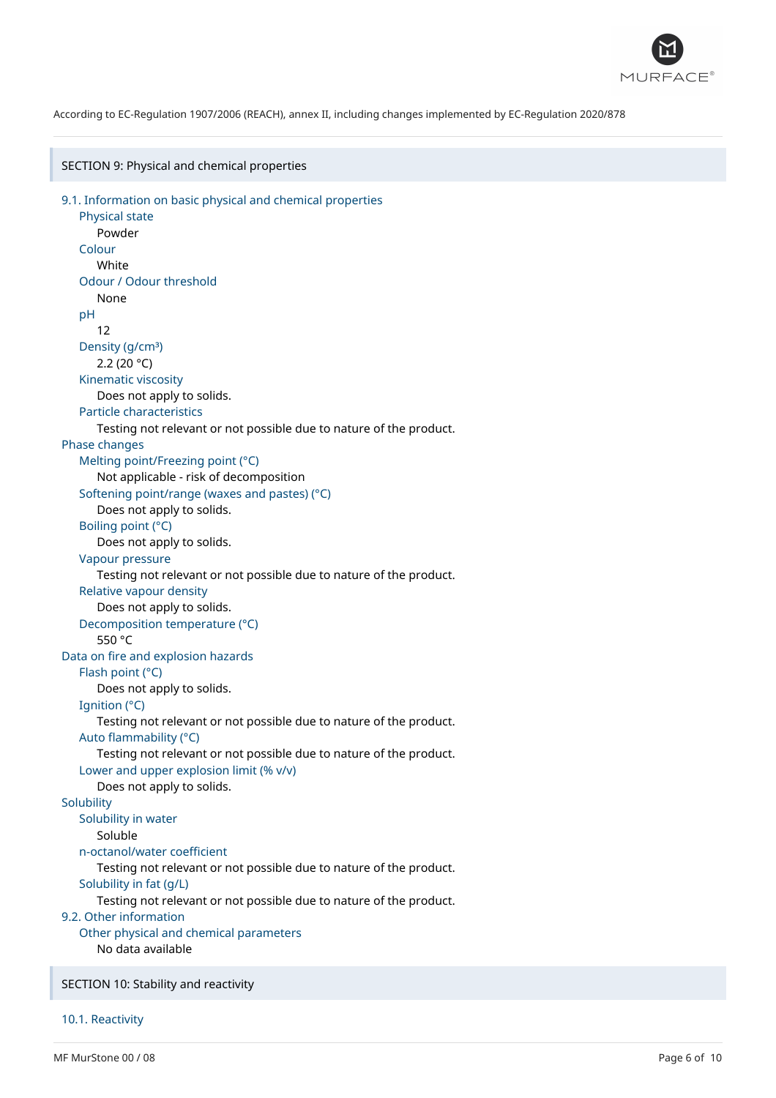

SECTION 9: Physical and chemical properties

```
9.1. Information on basic physical and chemical properties
   Physical state
      Powder
   Colour
      White
   Odour / Odour threshold
      None
   pH
      12
   Density (g/cm<sup>3</sup>)
      2.2 (20 °C)
   Kinematic viscosity
      Does not apply to solids.
   Particle characteristics
      Testing not relevant or not possible due to nature of the product.
Phase changes
   Melting point/Freezing point (°C)
      Not applicable - risk of decomposition
   Softening point/range (waxes and pastes) (°C)
      Does not apply to solids.
   Boiling point (°C)
      Does not apply to solids.
   Vapour pressure
      Testing not relevant or not possible due to nature of the product.
   Relative vapour density
      Does not apply to solids.
   Decomposition temperature (°C)
      550 °C
Data on fire and explosion hazards
   Flash point (°C)
      Does not apply to solids.
   Ignition (°C)
      Testing not relevant or not possible due to nature of the product.
   Auto flammability (°C)
      Testing not relevant or not possible due to nature of the product.
   Lower and upper explosion limit (% v/v)
      Does not apply to solids.
Solubility
  Solubility in water
      Soluble
   n-octanol/water coefficient
      Testing not relevant or not possible due to nature of the product.
   Solubility in fat (g/L)
      Testing not relevant or not possible due to nature of the product.
9.2. Other information
   Other physical and chemical parameters
      No data available
SECTION 10: Stability and reactivity
```
10.1. Reactivity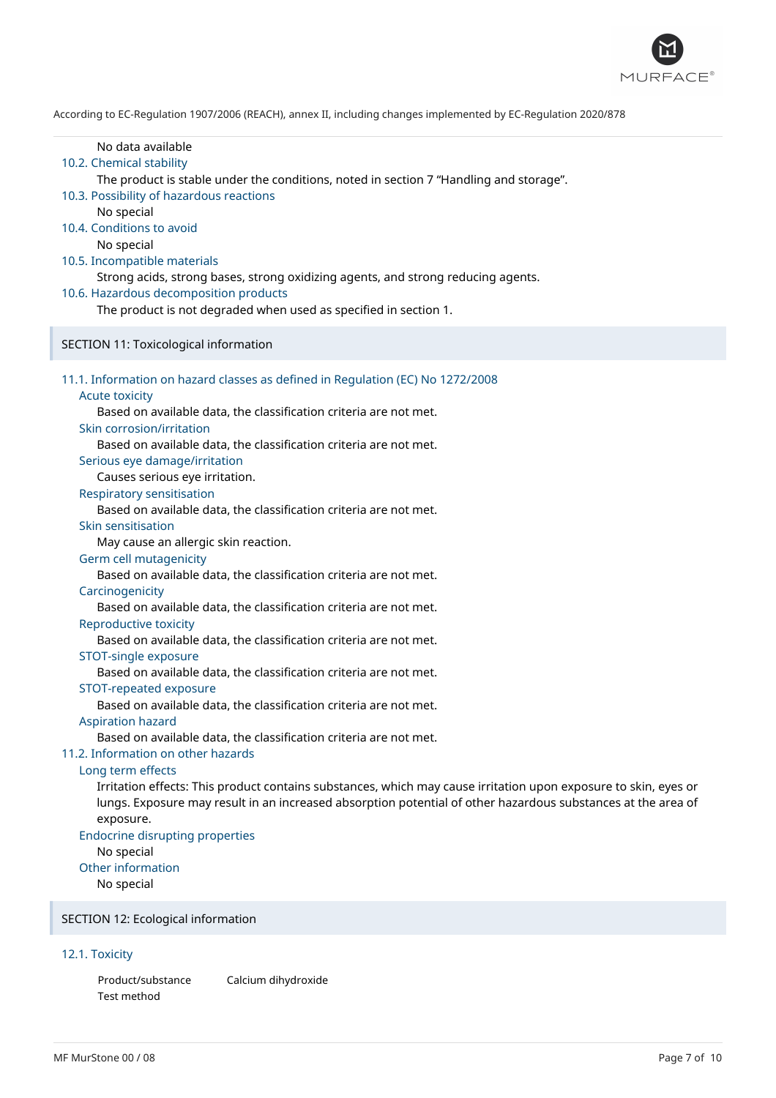

| No data available<br>10.2. Chemical stability<br>The product is stable under the conditions, noted in section 7 "Handling and storage".<br>10.3. Possibility of hazardous reactions<br>No special<br>10.4. Conditions to avoid<br>No special<br>10.5. Incompatible materials<br>Strong acids, strong bases, strong oxidizing agents, and strong reducing agents.<br>10.6. Hazardous decomposition products<br>The product is not degraded when used as specified in section 1.                                                                                                                                                                                                                                                                                                                                                                                                                                                                                                                                                                                                                                                                                                                                                                                                                                                                                                                                                                                                                                   |
|------------------------------------------------------------------------------------------------------------------------------------------------------------------------------------------------------------------------------------------------------------------------------------------------------------------------------------------------------------------------------------------------------------------------------------------------------------------------------------------------------------------------------------------------------------------------------------------------------------------------------------------------------------------------------------------------------------------------------------------------------------------------------------------------------------------------------------------------------------------------------------------------------------------------------------------------------------------------------------------------------------------------------------------------------------------------------------------------------------------------------------------------------------------------------------------------------------------------------------------------------------------------------------------------------------------------------------------------------------------------------------------------------------------------------------------------------------------------------------------------------------------|
| SECTION 11: Toxicological information                                                                                                                                                                                                                                                                                                                                                                                                                                                                                                                                                                                                                                                                                                                                                                                                                                                                                                                                                                                                                                                                                                                                                                                                                                                                                                                                                                                                                                                                            |
| 11.1. Information on hazard classes as defined in Regulation (EC) No 1272/2008<br><b>Acute toxicity</b><br>Based on available data, the classification criteria are not met.<br>Skin corrosion/irritation<br>Based on available data, the classification criteria are not met.<br>Serious eye damage/irritation<br>Causes serious eye irritation.<br><b>Respiratory sensitisation</b><br>Based on available data, the classification criteria are not met.<br>Skin sensitisation<br>May cause an allergic skin reaction.<br>Germ cell mutagenicity<br>Based on available data, the classification criteria are not met.<br>Carcinogenicity<br>Based on available data, the classification criteria are not met.<br>Reproductive toxicity<br>Based on available data, the classification criteria are not met.<br>STOT-single exposure<br>Based on available data, the classification criteria are not met.<br>STOT-repeated exposure<br>Based on available data, the classification criteria are not met.<br><b>Aspiration hazard</b><br>Based on available data, the classification criteria are not met.<br>11.2. Information on other hazards<br>Long term effects<br>Irritation effects: This product contains substances, which may cause irritation upon exposure to skin, eyes or<br>lungs. Exposure may result in an increased absorption potential of other hazardous substances at the area of<br>exposure.<br><b>Endocrine disrupting properties</b><br>No special<br>Other information<br>No special |

# SECTION 12: Ecological information

# 12.1. Toxicity

Product/substance Calcium dihydroxide Test method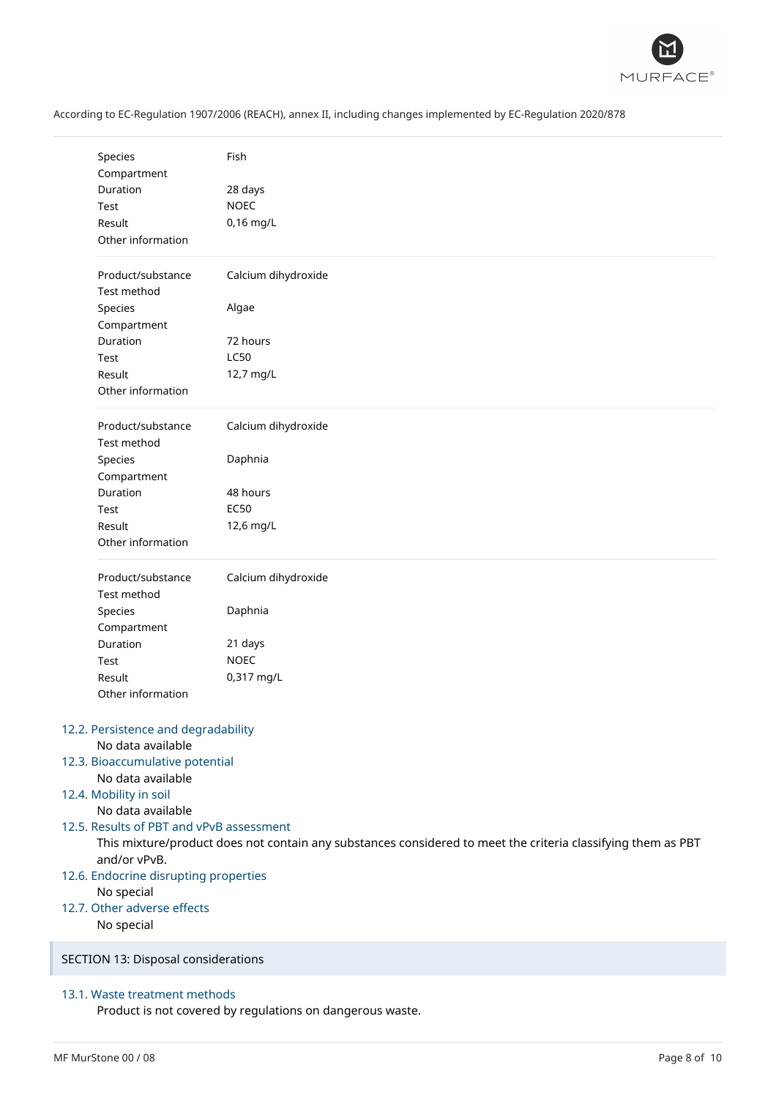

| According to EC-Regulation 1907/2006 (REACH), annex II, including changes implemented by EC-Regulation 2020/878 |
|-----------------------------------------------------------------------------------------------------------------|
|                                                                                                                 |

| Species                                  | Fish                                                                                                         |
|------------------------------------------|--------------------------------------------------------------------------------------------------------------|
| Compartment                              |                                                                                                              |
| Duration                                 | 28 days                                                                                                      |
| Test                                     | <b>NOEC</b>                                                                                                  |
| Result                                   | 0,16 mg/L                                                                                                    |
| Other information                        |                                                                                                              |
| Product/substance                        | Calcium dihydroxide                                                                                          |
| Test method                              |                                                                                                              |
| Species                                  | Algae                                                                                                        |
| Compartment                              |                                                                                                              |
| Duration                                 | 72 hours                                                                                                     |
| Test                                     | <b>LC50</b>                                                                                                  |
| Result                                   | 12,7 mg/L                                                                                                    |
| Other information                        |                                                                                                              |
| Product/substance<br>Test method         | Calcium dihydroxide                                                                                          |
|                                          |                                                                                                              |
| Species                                  | Daphnia                                                                                                      |
| Compartment                              |                                                                                                              |
| Duration                                 | 48 hours                                                                                                     |
| Test                                     | <b>EC50</b>                                                                                                  |
| Result                                   | 12,6 mg/L                                                                                                    |
| Other information                        |                                                                                                              |
| Product/substance                        | Calcium dihydroxide                                                                                          |
| Test method                              |                                                                                                              |
| Species                                  | Daphnia                                                                                                      |
| Compartment                              |                                                                                                              |
| Duration                                 | 21 days                                                                                                      |
| Test                                     | <b>NOEC</b>                                                                                                  |
| Result                                   | 0,317 mg/L                                                                                                   |
| Other information                        |                                                                                                              |
| 12.2. Persistence and degradability      |                                                                                                              |
| No data available                        |                                                                                                              |
| 12.3. Bioaccumulative potential          |                                                                                                              |
| No data available                        |                                                                                                              |
| 12.4. Mobility in soil                   |                                                                                                              |
| No data available                        |                                                                                                              |
| 12.5. Results of PBT and vPvB assessment |                                                                                                              |
| and/or vPvB.                             | This mixture/product does not contain any substances considered to meet the criteria classifying them as PBT |
| 12.6. Endocrine disrupting properties    |                                                                                                              |
| No special                               |                                                                                                              |
| 12.7. Other adverse effects              |                                                                                                              |
| No special                               |                                                                                                              |
| SECTION 13: Disposal considerations      |                                                                                                              |
|                                          |                                                                                                              |
|                                          |                                                                                                              |

# 13.1. Waste treatment methods

Product is not covered by regulations on dangerous waste.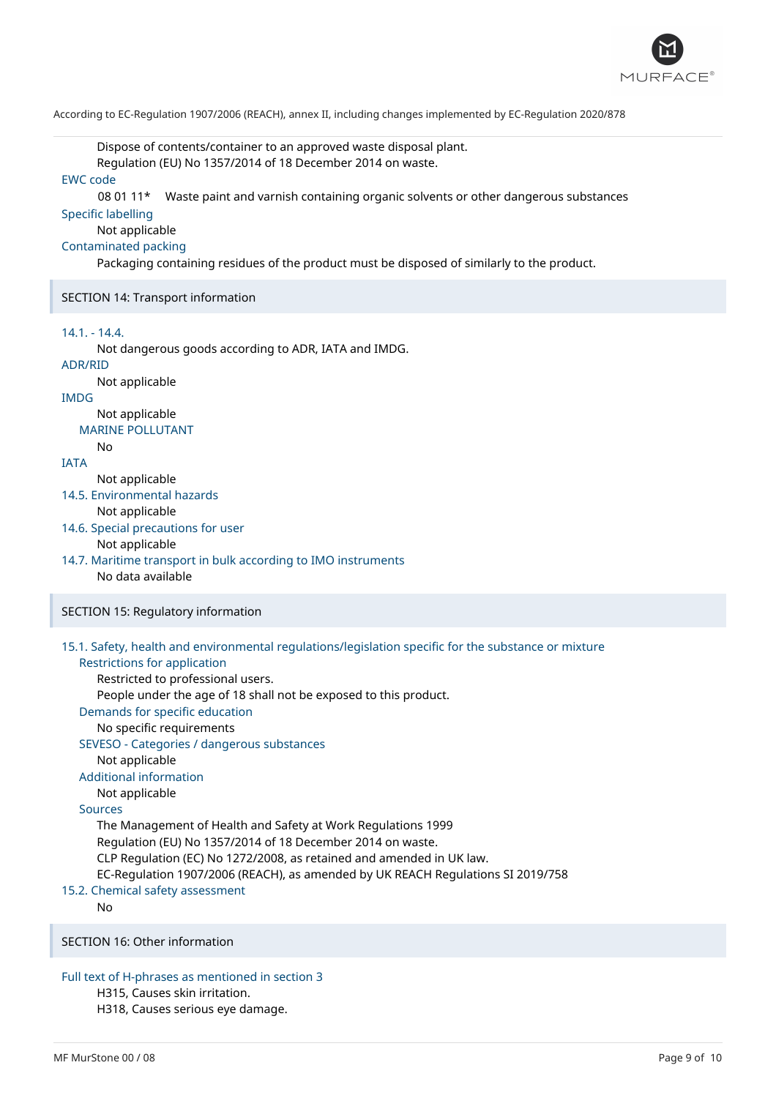

Dispose of contents/container to an approved waste disposal plant. Regulation (EU) No 1357/2014 of 18 December 2014 on waste.

## EWC code

08 01 11\* Waste paint and varnish containing organic solvents or other dangerous substances

# Specific labelling

# Not applicable

## Contaminated packing

Packaging containing residues of the product must be disposed of similarly to the product.

#### SECTION 14: Transport information

### 14.1. - 14.4.

Not dangerous goods according to ADR, IATA and IMDG.

# ADR/RID

# Not applicable

# IMDG

Not applicable MARINE POLLUTANT

#### No

# IATA

Not applicable

- 14.5. Environmental hazards
	- Not applicable

## 14.6. Special precautions for user

## Not applicable

## 14.7. Maritime transport in bulk according to IMO instruments No data available

## SECTION 15: Regulatory information

# 15.1. Safety, health and environmental regulations/legislation specific for the substance or mixture

## Restrictions for application Restricted to professional users.

People under the age of 18 shall not be exposed to this product.

Demands for specific education

## No specific requirements

## SEVESO - Categories / dangerous substances

Not applicable

# Additional information

## Not applicable

# Sources

The Management of Health and Safety at Work Regulations 1999 Regulation (EU) No 1357/2014 of 18 December 2014 on waste. CLP Regulation (EC) No 1272/2008, as retained and amended in UK law. EC-Regulation 1907/2006 (REACH), as amended by UK REACH Regulations SI 2019/758

# 15.2. Chemical safety assessment

No

## SECTION 16: Other information

# Full text of H-phrases as mentioned in section 3

H315, Causes skin irritation.

H318, Causes serious eye damage.